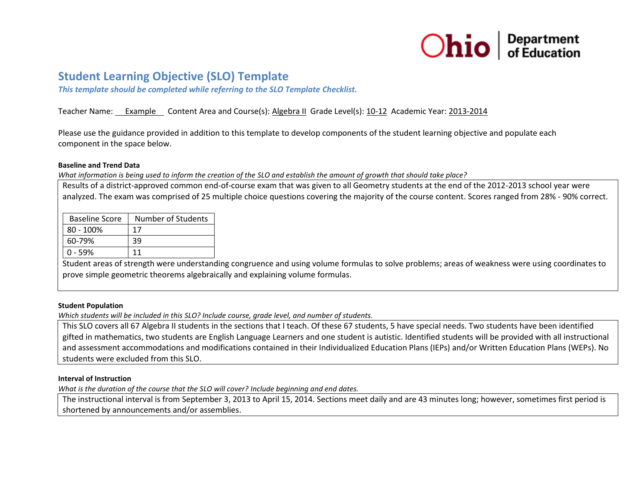

# **Student Learning Objective (SLO) Template**

*This template should be completed while referring to the SLO Template Checklist.* 

## Teacher Name: Example Content Area and Course(s): Algebra II Grade Level(s): 10-12 Academic Year: 2013-2014

Please use the guidance provided in addition to this template to develop components of the student learning objective and populate each component in the space below.

#### **Baseline and Trend Data**

*What information is being used to inform the creation of the SLO and establish the amount of growth that should take place?* 

Results of a district-approved common end-of-course exam that was given to all Geometry students at the end of the 2012-2013 school year were analyzed. The exam was comprised of 25 multiple choice questions covering the majority of the course content. Scores ranged from 28% - 90% correct.

| <b>Baseline Score</b> | Number of Students |
|-----------------------|--------------------|
| $80 - 100\%$          | 17                 |
| 60-79%                | 39                 |
| $0 - 59%$             | 11                 |

Student areas of strength were understanding congruence and using volume formulas to solve problems; areas of weakness were using coordinates to prove simple geometric theorems algebraically and explaining volume formulas.

## **Student Population**

*Which students will be included in this SLO? Include course, grade level, and number of students.*

This SLO covers all 67 Algebra II students in the sections that I teach. Of these 67 students, 5 have special needs. Two students have been identified gifted in mathematics, two students are English Language Learners and one student is autistic. Identified students will be provided with all instructional and assessment accommodations and modifications contained in their Individualized Education Plans (IEPs) and/or Written Education Plans (WEPs). No students were excluded from this SLO.

## **Interval of Instruction**

*What is the duration of the course that the SLO will cover? Include beginning and end dates.*

The instructional interval is from September 3, 2013 to April 15, 2014. Sections meet daily and are 43 minutes long; however, sometimes first period is shortened by announcements and/or assemblies.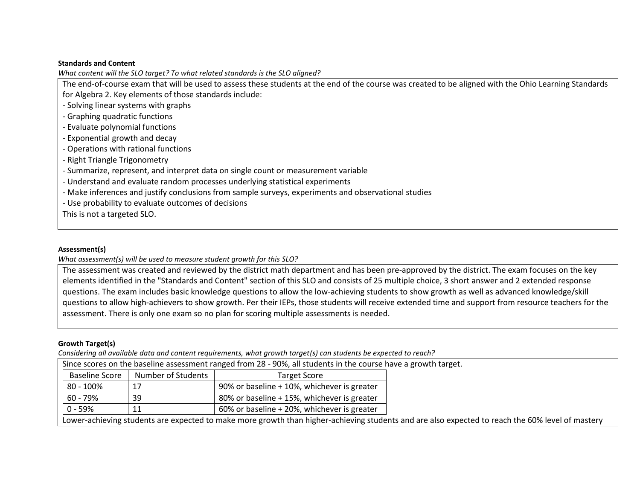## **Standards and Content**

*What content will the SLO target? To what related standards is the SLO aligned?* 

The end-of-course exam that will be used to assess these students at the end of the course was created to be aligned with the Ohio Learning Standards for Algebra 2. Key elements of those standards include:

- Solving linear systems with graphs

- Graphing quadratic functions
- Evaluate polynomial functions
- Exponential growth and decay
- Operations with rational functions
- Right Triangle Trigonometry
- Summarize, represent, and interpret data on single count or measurement variable
- Understand and evaluate random processes underlying statistical experiments
- Make inferences and justify conclusions from sample surveys, experiments and observational studies
- Use probability to evaluate outcomes of decisions

This is not a targeted SLO.

## **Assessment(s)**

*What assessment(s) will be used to measure student growth for this SLO?* 

The assessment was created and reviewed by the district math department and has been pre-approved by the district. The exam focuses on the key elements identified in the "Standards and Content" section of this SLO and consists of 25 multiple choice, 3 short answer and 2 extended response questions. The exam includes basic knowledge questions to allow the low-achieving students to show growth as well as advanced knowledge/skill questions to allow high-achievers to show growth. Per their IEPs, those students will receive extended time and support from resource teachers for the assessment. There is only one exam so no plan for scoring multiple assessments is needed.

# **Growth Target(s)**

*Considering all available data and content requirements, what growth target(s) can students be expected to reach?* 

|                                                                                                                                                  |                    | Since scores on the baseline assessment ranged from 28 - 90%, all students in the course have a growth target. |  |
|--------------------------------------------------------------------------------------------------------------------------------------------------|--------------------|----------------------------------------------------------------------------------------------------------------|--|
| <b>Baseline Score</b>                                                                                                                            | Number of Students | <b>Target Score</b>                                                                                            |  |
| 80 - 100%                                                                                                                                        | 17                 | 90% or baseline + 10%, whichever is greater                                                                    |  |
| 60 - 79%                                                                                                                                         | 39                 | 80% or baseline + 15%, whichever is greater                                                                    |  |
| 0 - 59%                                                                                                                                          | -11                | 60% or baseline + 20%, whichever is greater                                                                    |  |
| Lower-achieving students are expected to make more growth than higher-achieving students and are also expected to reach the 60% level of mastery |                    |                                                                                                                |  |